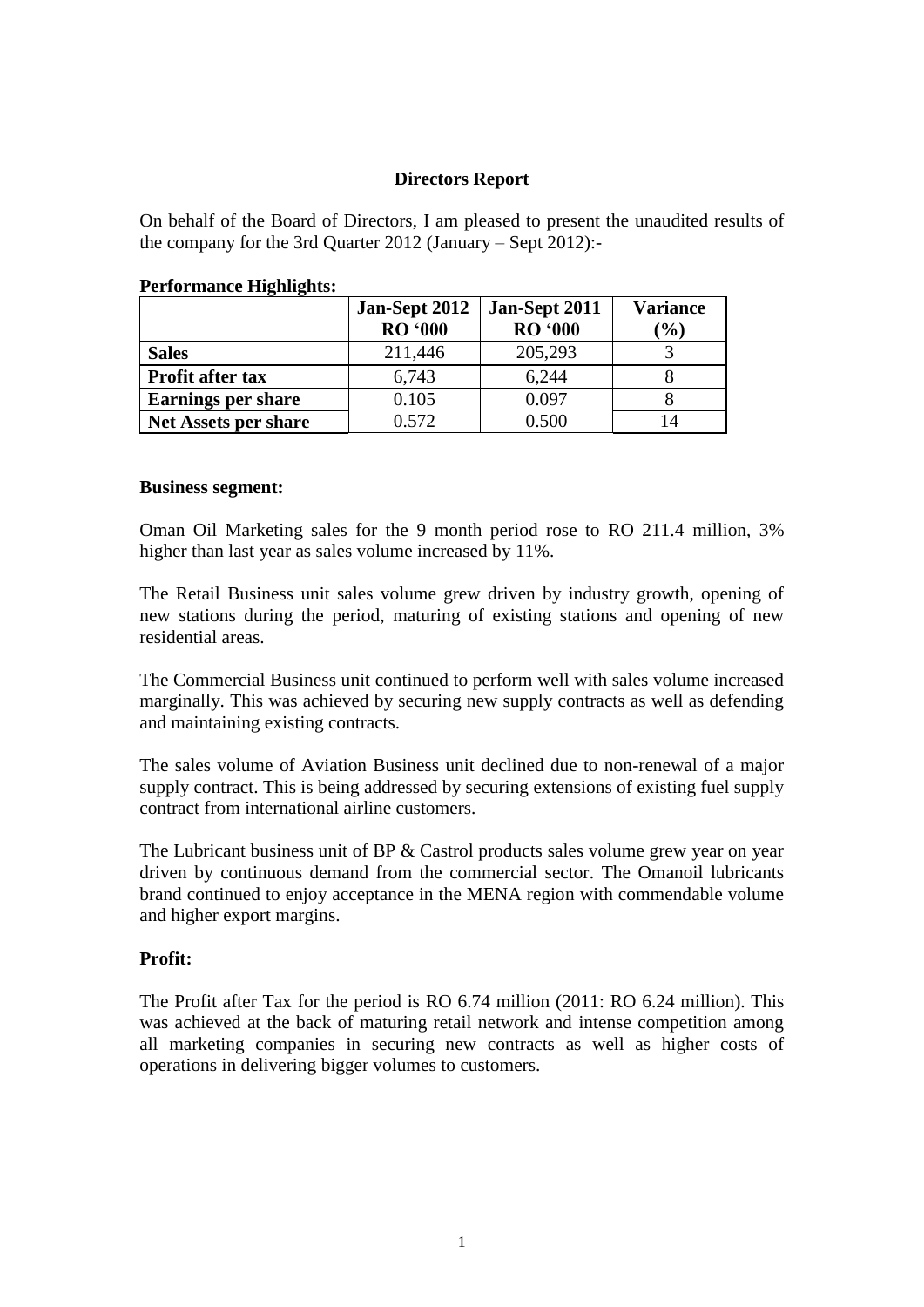# **Directors Report**

On behalf of the Board of Directors, I am pleased to present the unaudited results of the company for the 3rd Quarter 2012 (January – Sept 2012):-

|                           | Jan-Sept 2012<br><b>RO</b> '000 | Jan-Sept 2011<br><b>RO '000</b> | <b>Variance</b><br>$\frac{9}{0}$ |
|---------------------------|---------------------------------|---------------------------------|----------------------------------|
| <b>Sales</b>              | 211,446                         | 205,293                         |                                  |
| <b>Profit after tax</b>   | 6,743                           | 6,244                           |                                  |
| <b>Earnings per share</b> | 0.105                           | 0.097                           |                                  |
| Net Assets per share      | 0.572                           | 0.500                           |                                  |

#### **Performance Highlights:**

#### **Business segment:**

Oman Oil Marketing sales for the 9 month period rose to RO 211.4 million, 3% higher than last year as sales volume increased by 11%.

The Retail Business unit sales volume grew driven by industry growth, opening of new stations during the period, maturing of existing stations and opening of new residential areas.

The Commercial Business unit continued to perform well with sales volume increased marginally. This was achieved by securing new supply contracts as well as defending and maintaining existing contracts.

The sales volume of Aviation Business unit declined due to non-renewal of a major supply contract. This is being addressed by securing extensions of existing fuel supply contract from international airline customers.

The Lubricant business unit of BP & Castrol products sales volume grew year on year driven by continuous demand from the commercial sector. The Omanoil lubricants brand continued to enjoy acceptance in the MENA region with commendable volume and higher export margins.

## **Profit:**

The Profit after Tax for the period is RO 6.74 million (2011: RO 6.24 million). This was achieved at the back of maturing retail network and intense competition among all marketing companies in securing new contracts as well as higher costs of operations in delivering bigger volumes to customers.